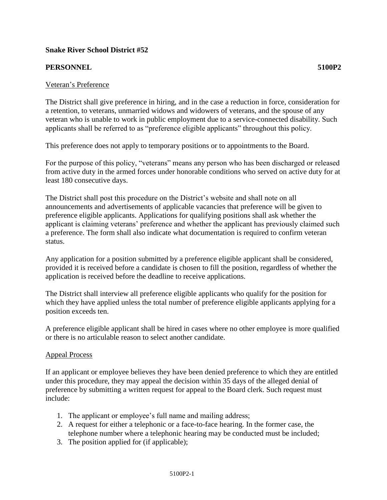## **Snake River School District #52**

## **PERSONNEL 5100P2**

## Veteran's Preference

The District shall give preference in hiring, and in the case a reduction in force, consideration for a retention, to veterans, unmarried widows and widowers of veterans, and the spouse of any veteran who is unable to work in public employment due to a service-connected disability. Such applicants shall be referred to as "preference eligible applicants" throughout this policy.

This preference does not apply to temporary positions or to appointments to the Board.

For the purpose of this policy, "veterans" means any person who has been discharged or released from active duty in the armed forces under honorable conditions who served on active duty for at least 180 consecutive days.

The District shall post this procedure on the District's website and shall note on all announcements and advertisements of applicable vacancies that preference will be given to preference eligible applicants. Applications for qualifying positions shall ask whether the applicant is claiming veterans' preference and whether the applicant has previously claimed such a preference. The form shall also indicate what documentation is required to confirm veteran status.

Any application for a position submitted by a preference eligible applicant shall be considered, provided it is received before a candidate is chosen to fill the position, regardless of whether the application is received before the deadline to receive applications.

The District shall interview all preference eligible applicants who qualify for the position for which they have applied unless the total number of preference eligible applicants applying for a position exceeds ten.

A preference eligible applicant shall be hired in cases where no other employee is more qualified or there is no articulable reason to select another candidate.

## Appeal Process

If an applicant or employee believes they have been denied preference to which they are entitled under this procedure, they may appeal the decision within 35 days of the alleged denial of preference by submitting a written request for appeal to the Board clerk. Such request must include:

- 1. The applicant or employee's full name and mailing address;
- 2. A request for either a telephonic or a face-to-face hearing. In the former case, the telephone number where a telephonic hearing may be conducted must be included;
- 3. The position applied for (if applicable);